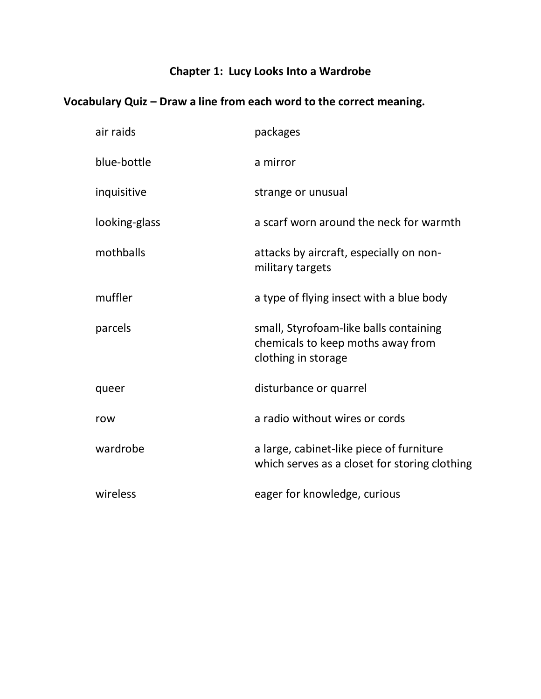# **Chapter 1: Lucy Looks Into a Wardrobe**

| air raids     | packages                                                                                           |
|---------------|----------------------------------------------------------------------------------------------------|
| blue-bottle   | a mirror                                                                                           |
| inquisitive   | strange or unusual                                                                                 |
| looking-glass | a scarf worn around the neck for warmth                                                            |
| mothballs     | attacks by aircraft, especially on non-<br>military targets                                        |
| muffler       | a type of flying insect with a blue body                                                           |
| parcels       | small, Styrofoam-like balls containing<br>chemicals to keep moths away from<br>clothing in storage |
| queer         | disturbance or quarrel                                                                             |
| row           | a radio without wires or cords                                                                     |
| wardrobe      | a large, cabinet-like piece of furniture<br>which serves as a closet for storing clothing          |
| wireless      | eager for knowledge, curious                                                                       |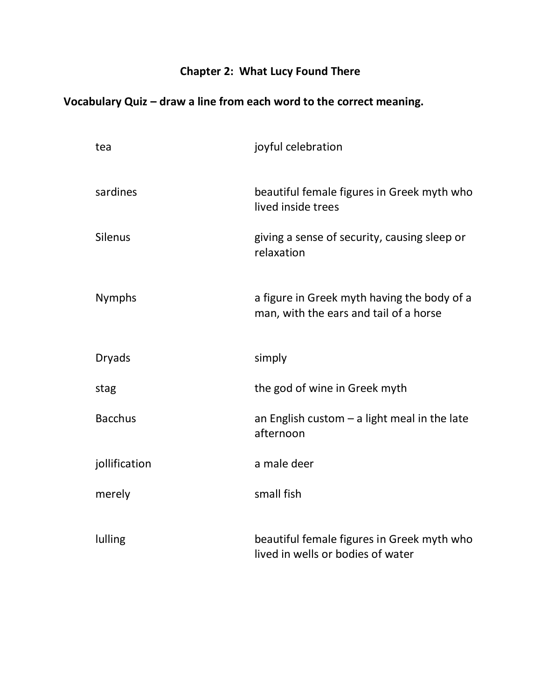### **Chapter 2: What Lucy Found There**

| tea            | joyful celebration                                                                    |
|----------------|---------------------------------------------------------------------------------------|
| sardines       | beautiful female figures in Greek myth who<br>lived inside trees                      |
| <b>Silenus</b> | giving a sense of security, causing sleep or<br>relaxation                            |
| <b>Nymphs</b>  | a figure in Greek myth having the body of a<br>man, with the ears and tail of a horse |
| <b>Dryads</b>  | simply                                                                                |
| stag           | the god of wine in Greek myth                                                         |
| <b>Bacchus</b> | an English custom $-$ a light meal in the late<br>afternoon                           |
| jollification  | a male deer                                                                           |
| merely         | small fish                                                                            |
| lulling        | beautiful female figures in Greek myth who<br>lived in wells or bodies of water       |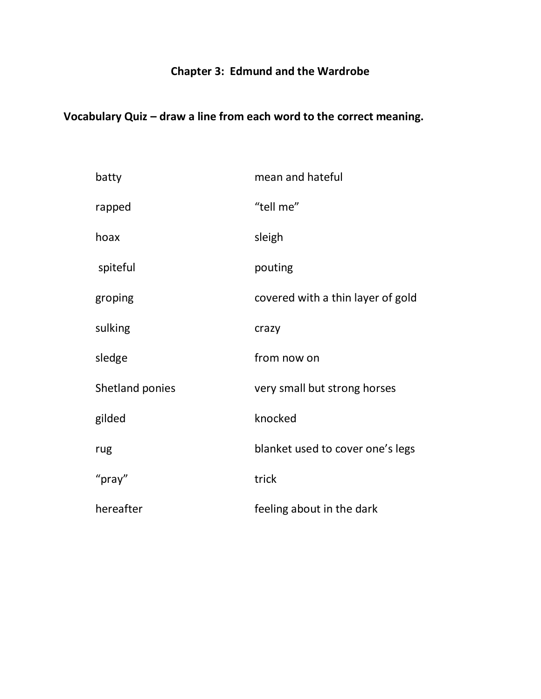#### **Chapter 3: Edmund and the Wardrobe**

| batty           | mean and hateful                  |
|-----------------|-----------------------------------|
| rapped          | "tell me"                         |
| hoax            | sleigh                            |
| spiteful        | pouting                           |
| groping         | covered with a thin layer of gold |
| sulking         | crazy                             |
| sledge          | from now on                       |
| Shetland ponies | very small but strong horses      |
| gilded          | knocked                           |
| rug             | blanket used to cover one's legs  |
| "pray"          | trick                             |
| hereafter       | feeling about in the dark         |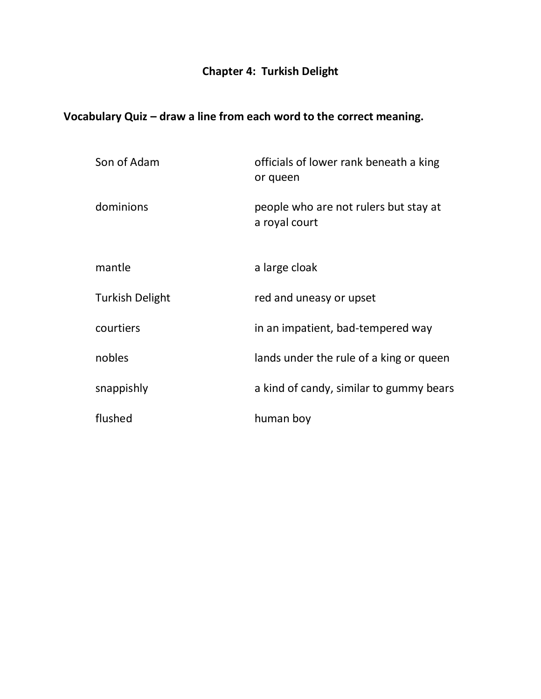# **Chapter 4: Turkish Delight**

| Son of Adam            | officials of lower rank beneath a king<br>or queen     |
|------------------------|--------------------------------------------------------|
| dominions              | people who are not rulers but stay at<br>a royal court |
| mantle                 | a large cloak                                          |
| <b>Turkish Delight</b> | red and uneasy or upset                                |
| courtiers              | in an impatient, bad-tempered way                      |
| nobles                 | lands under the rule of a king or queen                |
| snappishly             | a kind of candy, similar to gummy bears                |
| flushed                | human boy                                              |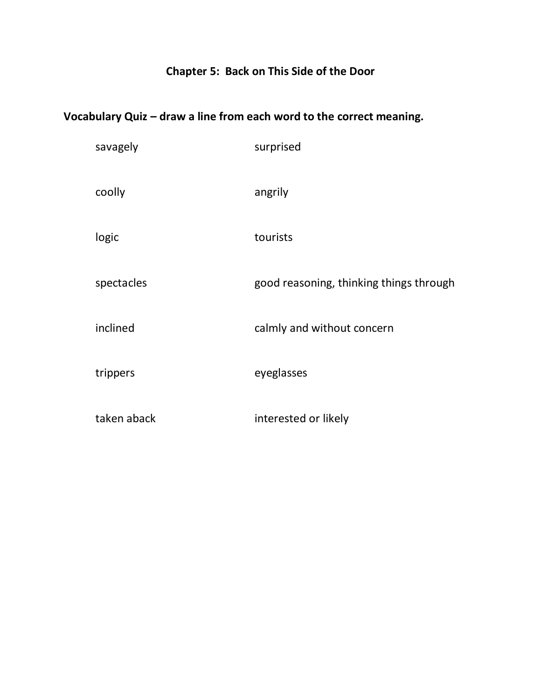### **Chapter 5: Back on This Side of the Door**

| savagely    | surprised                               |
|-------------|-----------------------------------------|
| coolly      | angrily                                 |
| logic       | tourists                                |
| spectacles  | good reasoning, thinking things through |
| inclined    | calmly and without concern              |
| trippers    | eyeglasses                              |
| taken aback | interested or likely                    |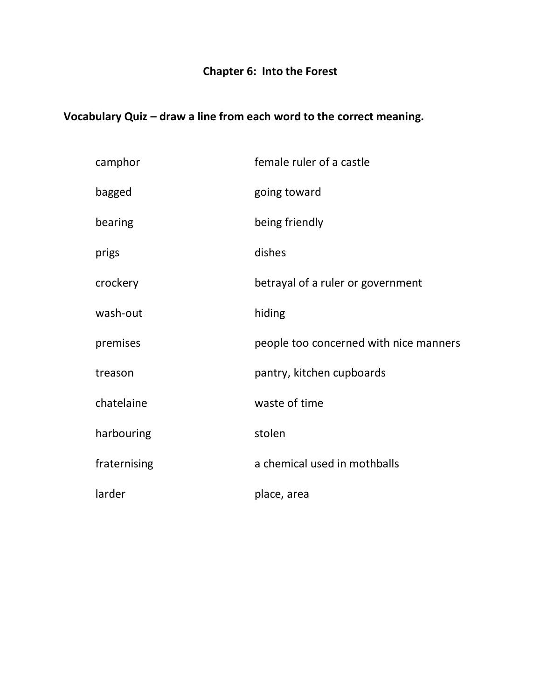# **Chapter 6: Into the Forest**

| camphor      | female ruler of a castle               |
|--------------|----------------------------------------|
| bagged       | going toward                           |
| bearing      | being friendly                         |
| prigs        | dishes                                 |
| crockery     | betrayal of a ruler or government      |
| wash-out     | hiding                                 |
| premises     | people too concerned with nice manners |
| treason      | pantry, kitchen cupboards              |
| chatelaine   | waste of time                          |
| harbouring   | stolen                                 |
| fraternising | a chemical used in mothballs           |
| larder       | place, area                            |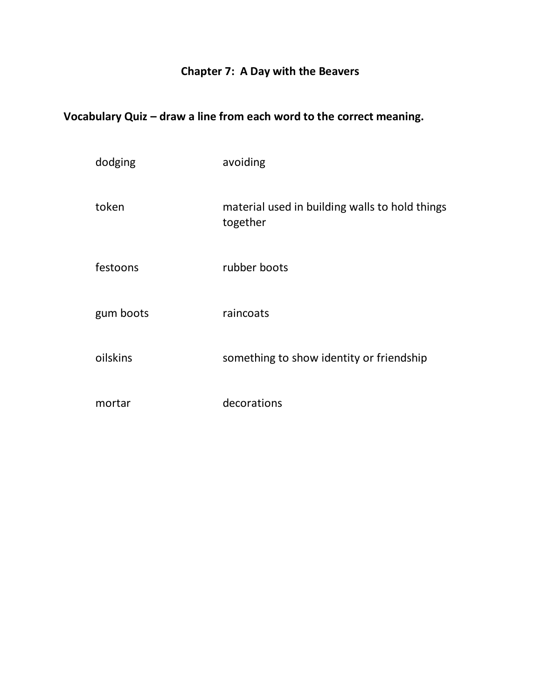#### **Chapter 7: A Day with the Beavers**

| dodging   | avoiding                                                   |
|-----------|------------------------------------------------------------|
| token     | material used in building walls to hold things<br>together |
| festoons  | rubber boots                                               |
| gum boots | raincoats                                                  |
| oilskins  | something to show identity or friendship                   |
| mortar    | decorations                                                |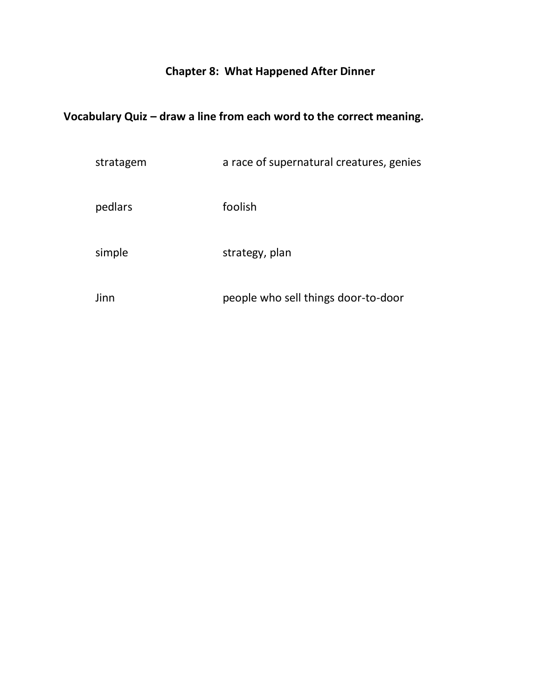# **Chapter 8: What Happened After Dinner**

| stratagem | a race of supernatural creatures, genies |
|-----------|------------------------------------------|
| pedlars   | foolish                                  |
| simple    | strategy, plan                           |
| Jinn      | people who sell things door-to-door      |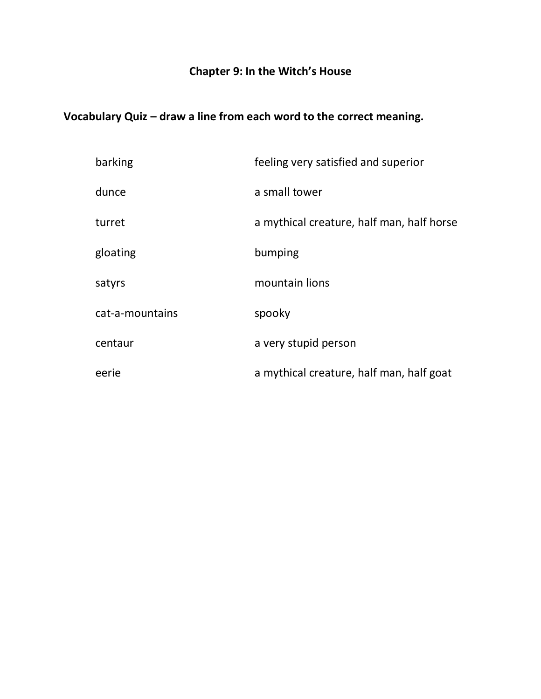#### **Chapter 9: In the Witch's House**

| barking         | feeling very satisfied and superior       |
|-----------------|-------------------------------------------|
| dunce           | a small tower                             |
| turret          | a mythical creature, half man, half horse |
| gloating        | bumping                                   |
| satyrs          | mountain lions                            |
| cat-a-mountains | spooky                                    |
| centaur         | a very stupid person                      |
| eerie           | a mythical creature, half man, half goat  |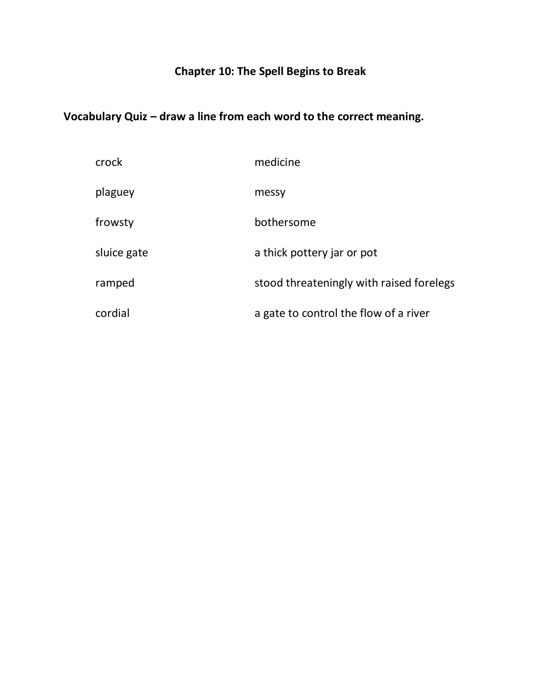### **Chapter 10: The Spell Begins to Break**

| crock       | medicine                                 |
|-------------|------------------------------------------|
| plaguey     | messy                                    |
| frowsty     | bothersome                               |
| sluice gate | a thick pottery jar or pot               |
| ramped      | stood threateningly with raised forelegs |
| cordial     | a gate to control the flow of a river    |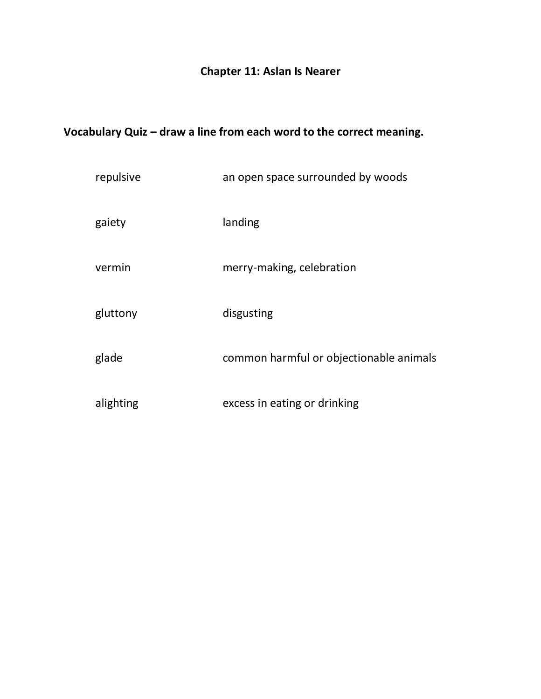### **Chapter 11: Aslan Is Nearer**

| repulsive | an open space surrounded by woods       |
|-----------|-----------------------------------------|
| gaiety    | landing                                 |
| vermin    | merry-making, celebration               |
| gluttony  | disgusting                              |
| glade     | common harmful or objectionable animals |
| alighting | excess in eating or drinking            |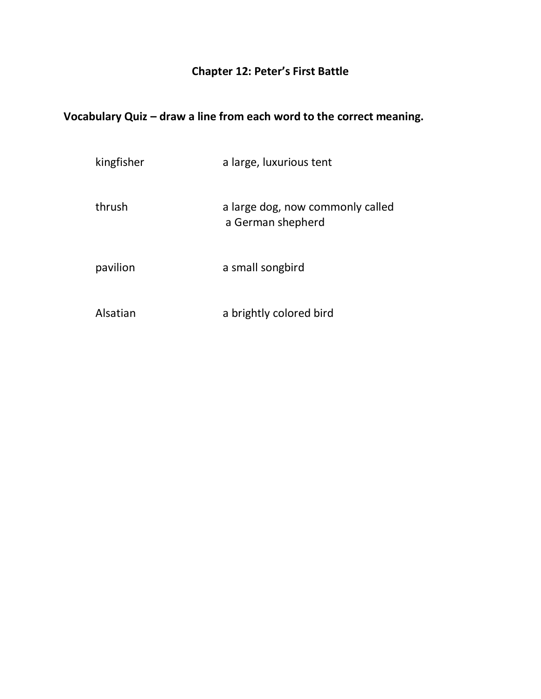### **Chapter 12: Peter's First Battle**

| kingfisher | a large, luxurious tent                               |
|------------|-------------------------------------------------------|
| thrush     | a large dog, now commonly called<br>a German shepherd |
| pavilion   | a small songbird                                      |
| Alsatian   | a brightly colored bird                               |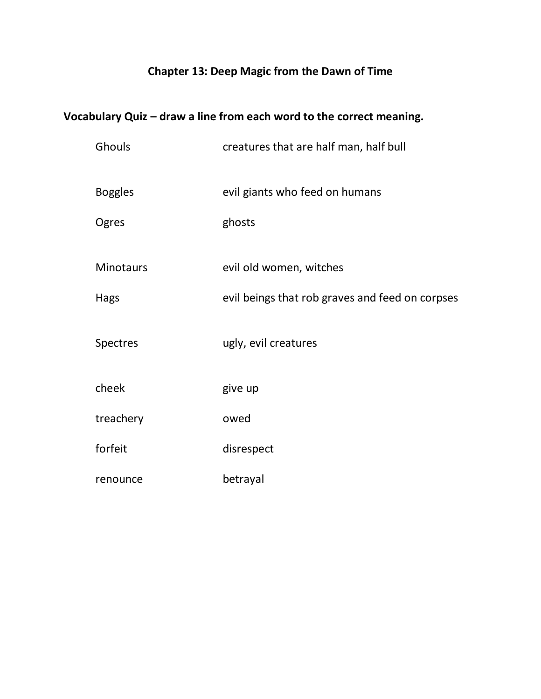### **Chapter 13: Deep Magic from the Dawn of Time**

| Ghouls           | creatures that are half man, half bull          |
|------------------|-------------------------------------------------|
| <b>Boggles</b>   | evil giants who feed on humans                  |
| Ogres            | ghosts                                          |
| <b>Minotaurs</b> | evil old women, witches                         |
| Hags             | evil beings that rob graves and feed on corpses |
| <b>Spectres</b>  | ugly, evil creatures                            |
| cheek            | give up                                         |
| treachery        | owed                                            |
| forfeit          | disrespect                                      |
| renounce         | betrayal                                        |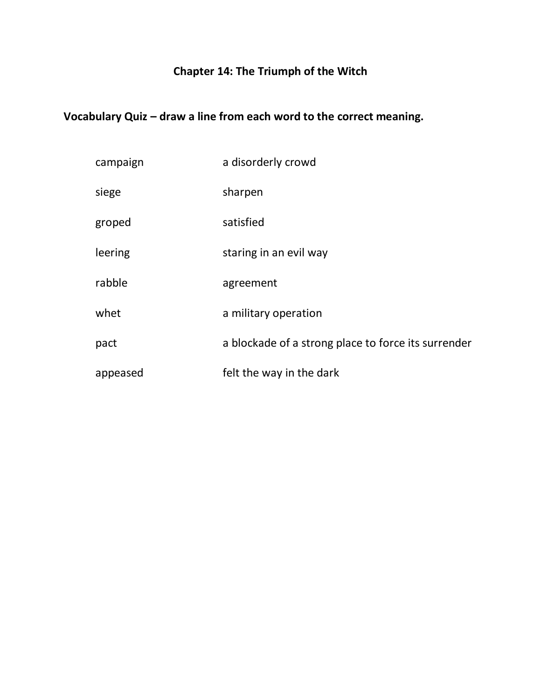# **Chapter 14: The Triumph of the Witch**

| campaign | a disorderly crowd                                  |
|----------|-----------------------------------------------------|
| siege    | sharpen                                             |
| groped   | satisfied                                           |
| leering  | staring in an evil way                              |
| rabble   | agreement                                           |
| whet     | a military operation                                |
| pact     | a blockade of a strong place to force its surrender |
| appeased | felt the way in the dark                            |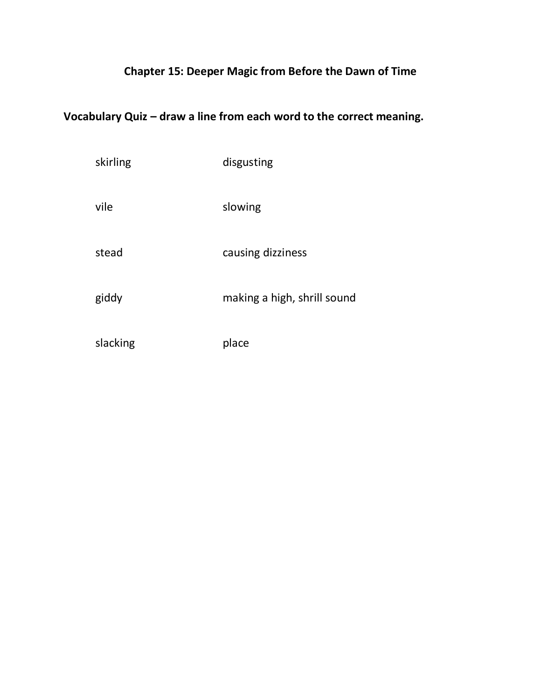### **Chapter 15: Deeper Magic from Before the Dawn of Time**

| skirling | disgusting                  |
|----------|-----------------------------|
| vile     | slowing                     |
| stead    | causing dizziness           |
| giddy    | making a high, shrill sound |
| slacking | place                       |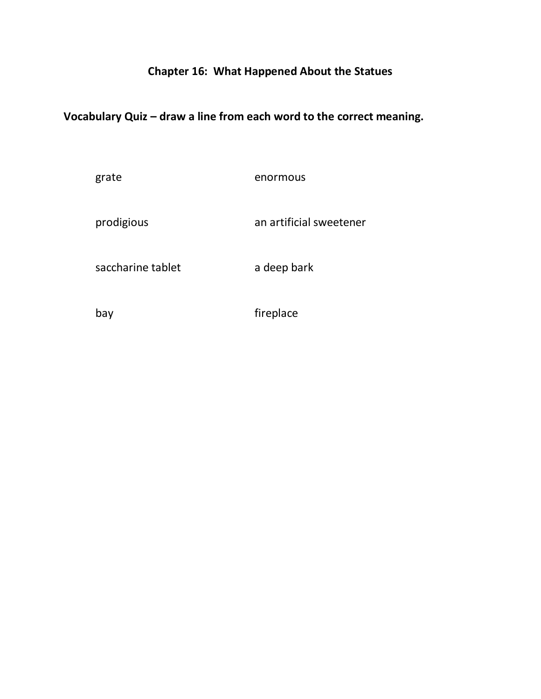#### **Chapter 16: What Happened About the Statues**

#### **Vocabulary Quiz – draw a line from each word to the correct meaning.**

grate enormous

prodigious an artificial sweetener

saccharine tablet a deep bark

bay fireplace